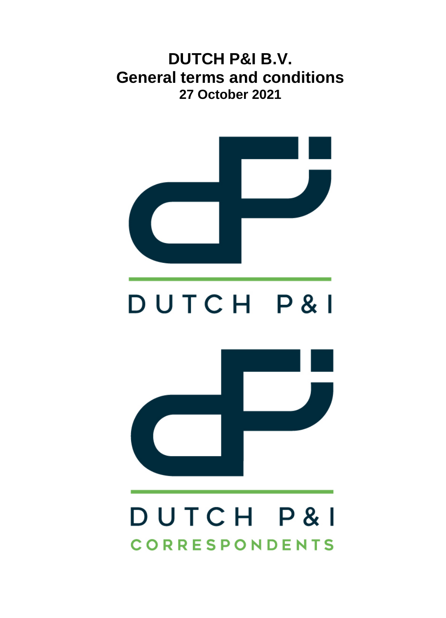# **DUTCH P&I B.V. General terms and conditions 27 October 2021**



**CORRESPONDENTS**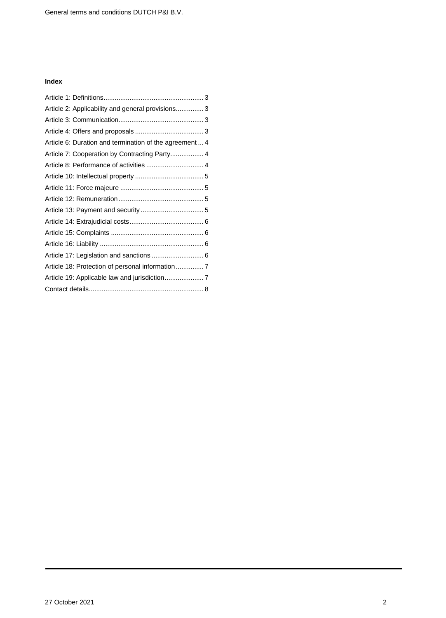# **Index**

| Article 2: Applicability and general provisions 3       |  |
|---------------------------------------------------------|--|
|                                                         |  |
|                                                         |  |
| Article 6: Duration and termination of the agreement  4 |  |
| Article 7: Cooperation by Contracting Party 4           |  |
| Article 8: Performance of activities  4                 |  |
|                                                         |  |
|                                                         |  |
|                                                         |  |
|                                                         |  |
|                                                         |  |
|                                                         |  |
|                                                         |  |
| Article 17: Legislation and sanctions  6                |  |
| Article 18: Protection of personal information  7       |  |
|                                                         |  |
|                                                         |  |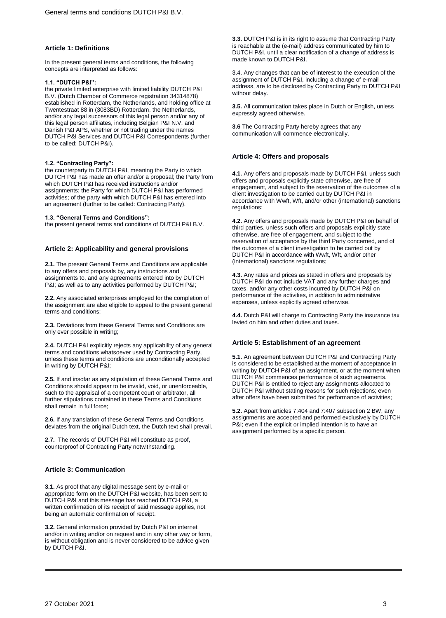#### <span id="page-2-0"></span>**Article 1: Definitions**

In the present general terms and conditions, the following concepts are interpreted as follows:

#### **1.1. "DUTCH P&I":**

the private limited enterprise with limited liability DUTCH P&I B.V. (Dutch Chamber of Commerce registration 34314878) established in Rotterdam, the Netherlands, and holding office at Twentestraat 88 in (3083BD) Rotterdam, the Netherlands, and/or any legal successors of this legal person and/or any of this legal person affiliates, including Belgian P&I N.V. and Danish P&I APS, whether or not trading under the names DUTCH P&I Services and DUTCH P&I Correspondents (further to be called: DUTCH P&I).

#### **1.2. "Contracting Party":**

the counterparty to DUTCH P&I, meaning the Party to which DUTCH P&I has made an offer and/or a proposal; the Party from which DUTCH P&I has received instructions and/or assignments; the Party for which DUTCH P&I has performed activities; of the party with which DUTCH P&I has entered into an agreement (further to be called: Contracting Party).

#### **1.3. "General Terms and Conditions":**

the present general terms and conditions of DUTCH P&I B.V.

#### <span id="page-2-1"></span>**Article 2: Applicability and general provisions**

**2.1.** The present General Terms and Conditions are applicable to any offers and proposals by, any instructions and assignments to, and any agreements entered into by DUTCH P&I; as well as to any activities performed by DUTCH P&I;

**2.2.** Any associated enterprises employed for the completion of the assignment are also eligible to appeal to the present general terms and conditions;

**2.3.** Deviations from these General Terms and Conditions are only ever possible in writing;

**2.4.** DUTCH P&I explicitly rejects any applicability of any general terms and conditions whatsoever used by Contracting Party, unless these terms and conditions are unconditionally accepted in writing by DUTCH P&I;

**2.5.** If and insofar as any stipulation of these General Terms and Conditions should appear to be invalid, void, or unenforceable, such to the appraisal of a competent court or arbitrator, all further stipulations contained in these Terms and Conditions shall remain in full force;

**2.6.** If any translation of these General Terms and Conditions deviates from the original Dutch text, the Dutch text shall prevail.

**2.7.** The records of DUTCH P&I will constitute as proof, counterproof of Contracting Party notwithstanding.

#### <span id="page-2-2"></span>**Article 3: Communication**

**3.1.** As proof that any digital message sent by e-mail or appropriate form on the DUTCH P&I website, has been sent to DUTCH P&I and this message has reached DUTCH P&I, a written confirmation of its receipt of said message applies, not being an automatic confirmation of receipt.

**3.2.** General information provided by Dutch P&I on internet and/or in writing and/or on request and in any other way or form, is without obligation and is never considered to be advice given by DUTCH P&I.

**3.3.** DUTCH P&I is in its right to assume that Contracting Party is reachable at the (e-mail) address communicated by him to DUTCH P&I, until a clear notification of a change of address is made known to DUTCH P&I.

3.4. Any changes that can be of interest to the execution of the assignment of DUTCH P&I, including a change of e-mail address, are to be disclosed by Contracting Party to DUTCH P&I without delay.

**3.5.** All communication takes place in Dutch or English, unless expressly agreed otherwise.

**3.6** The Contracting Party hereby agrees that any communication will commence electronically.

#### <span id="page-2-3"></span>**Article 4: Offers and proposals**

**4.1.** Any offers and proposals made by DUTCH P&I, unless such offers and proposals explicitly state otherwise, are free of engagement, and subject to the reservation of the outcomes of a client investigation to be carried out by DUTCH P&I in accordance with Wwft, Wft, and/or other (international) sanctions regulations;

**4.2.** Any offers and proposals made by DUTCH P&I on behalf of third parties, unless such offers and proposals explicitly state otherwise, are free of engagement, and subject to the reservation of acceptance by the third Party concerned, and of the outcomes of a client investigation to be carried out by DUTCH P&I in accordance with Wwft, Wft, and/or other (international) sanctions regulations;

**4.3.** Any rates and prices as stated in offers and proposals by DUTCH P&I do not include VAT and any further charges and taxes, and/or any other costs incurred by DUTCH P&I on performance of the activities, in addition to administrative expenses, unless explicitly agreed otherwise.

**4.4.** Dutch P&I will charge to Contracting Party the insurance tax levied on him and other duties and taxes.

## **Article 5: Establishment of an agreement**

**5.1.** An agreement between DUTCH P&I and Contracting Party is considered to be established at the moment of acceptance in writing by DUTCH P&I of an assignment, or at the moment when DUTCH P&I commences performance of such agreements. DUTCH P&I is entitled to reject any assignments allocated to DUTCH P&I without stating reasons for such rejections; even after offers have been submitted for performance of activities;

**5.2.** Apart from articles 7:404 and 7:407 subsection 2 BW, any assignments are accepted and performed exclusively by DUTCH P&I; even if the explicit or implied intention is to have an assignment performed by a specific person.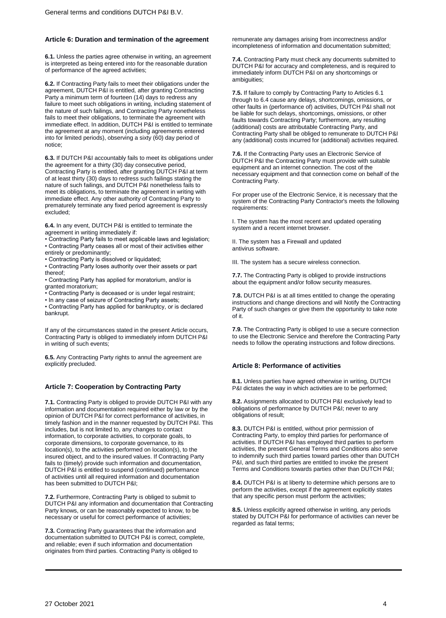#### <span id="page-3-0"></span>**Article 6: Duration and termination of the agreement**

**6.1.** Unless the parties agree otherwise in writing, an agreement is interpreted as being entered into for the reasonable duration of performance of the agreed activities;

**6.2.** If Contracting Party fails to meet their obligations under the agreement, DUTCH P&I is entitled, after granting Contracting Party a minimum term of fourteen (14) days to redress any failure to meet such obligations in writing, including statement of the nature of such failings, and Contracting Party nonetheless fails to meet their obligations, to terminate the agreement with immediate effect. In addition, DUTCH P&I is entitled to terminate the agreement at any moment (including agreements entered into for limited periods), observing a sixty (60) day period of notice;

**6.3.** If DUTCH P&I accountably fails to meet its obligations under the agreement for a thirty (30) day consecutive period, Contracting Party is entitled, after granting DUTCH P&I at term of at least thirty (30) days to redress such failings stating the nature of such failings, and DUTCH P&I nonetheless fails to meet its obligations, to terminate the agreement in writing with immediate effect. Any other authority of Contracting Party to prematurely terminate any fixed period agreement is expressly excluded;

**6.4.** In any event, DUTCH P&I is entitled to terminate the agreement in writing immediately if:

• Contracting Party fails to meet applicable laws and legislation:

- Contracting Party ceases all or most of their activities either entirely or predominantly;
- Contracting Party is dissolved or liquidated;

• Contracting Party loses authority over their assets or part thereof;

• Contracting Party has applied for moratorium, and/or is granted moratorium;

- Contracting Party is deceased or is under legal restraint;
- In any case of seizure of Contracting Party assets;

• Contracting Party has applied for bankruptcy, or is declared bankrupt.

If any of the circumstances stated in the present Article occurs, Contracting Party is obliged to immediately inform DUTCH P&I in writing of such events;

**6.5.** Any Contracting Party rights to annul the agreement are explicitly precluded.

## <span id="page-3-1"></span>**Article 7: Cooperation by Contracting Party**

**7.1.** Contracting Party is obliged to provide DUTCH P&I with any information and documentation required either by law or by the opinion of DUTCH P&I for correct performance of activities, in timely fashion and in the manner requested by DUTCH P&I. This includes, but is not limited to, any changes to contact information, to corporate activities, to corporate goals, to corporate dimensions, to corporate governance, to its location(s), to the activities performed on location(s), to the insured object, and to the insured values. If Contracting Party fails to (timely) provide such information and documentation, DUTCH P&I is entitled to suspend (continued) performance of activities until all required information and documentation has been submitted to DUTCH P&I;

**7.2.** Furthermore, Contracting Party is obliged to submit to DUTCH P&I any information and documentation that Contracting Party knows, or can be reasonably expected to know, to be necessary or useful for correct performance of activities;

**7.3.** Contracting Party guarantees that the information and documentation submitted to DUTCH P&I is correct, complete, and reliable; even if such information and documentation originates from third parties. Contracting Party is obliged to

remunerate any damages arising from incorrectness and/or incompleteness of information and documentation submitted;

**7.4.** Contracting Party must check any documents submitted to DUTCH P&I for accuracy and completeness, and is required to immediately inform DUTCH P&I on any shortcomings or ambiguities;

**7.5.** If failure to comply by Contracting Party to Articles 6.1 through to 6.4 cause any delays, shortcomings, omissions, or other faults in (performance of) activities, DUTCH P&I shall not be liable for such delays, shortcomings, omissions, or other faults towards Contracting Party; furthermore, any resulting (additional) costs are attributable Contracting Party, and Contracting Party shall be obliged to remunerate to DUTCH P&I any (additional) costs incurred for (additional) activities required.

**7.6.** If the Contracting Party uses an Electronic Service of DUTCH P&I the Contracting Party must provide with suitable equipment and an internet connection. The cost of the necessary equipment and that connection come on behalf of the Contracting Party.

For proper use of the Electronic Service, it is necessary that the system of the Contracting Party Contractor's meets the following requirements:

I. The system has the most recent and updated operating system and a recent internet browser.

II. The system has a Firewall and updated antivirus software.

III. The system has a secure wireless connection.

**7.7.** The Contracting Party is obliged to provide instructions about the equipment and/or follow security measures.

**7.8.** DUTCH P&I is at all times entitled to change the operating instructions and change directions and will Notify the Contracting Party of such changes or give them the opportunity to take note of it.

**7.9.** The Contracting Party is obliged to use a secure connection to use the Electronic Service and therefore the Contracting Party needs to follow the operating instructions and follow directions.

## <span id="page-3-2"></span>**Article 8: Performance of activities**

**8.1.** Unless parties have agreed otherwise in writing, DUTCH P&I dictates the way in which activities are to be performed;

**8.2.** Assignments allocated to DUTCH P&I exclusively lead to obligations of performance by DUTCH P&I; never to any obligations of result;

**8.3.** DUTCH P&I is entitled, without prior permission of Contracting Party, to employ third parties for performance of activities. If DUTCH P&I has employed third parties to perform activities, the present General Terms and Conditions also serve to indemnify such third parties toward parties other than DUTCH P&I, and such third parties are entitled to invoke the present Terms and Conditions towards parties other than DUTCH P&I;

**8.4.** DUTCH P&I is at liberty to determine which persons are to perform the activities, except if the agreement explicitly states that any specific person must perform the activities;

**8.5.** Unless explicitly agreed otherwise in writing, any periods stated by DUTCH P&I for performance of activities can never be regarded as fatal terms;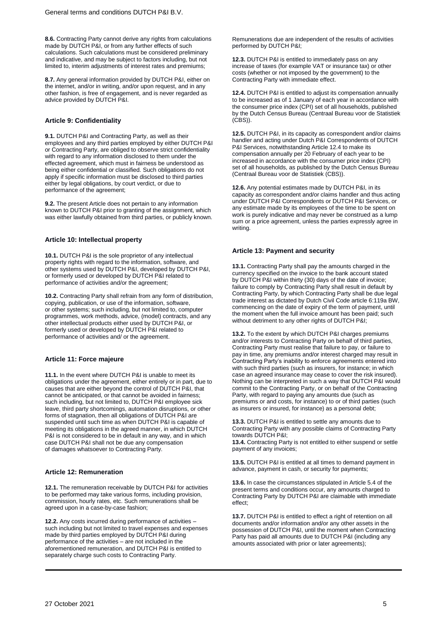**8.6.** Contracting Party cannot derive any rights from calculations made by DUTCH P&I, or from any further effects of such calculations. Such calculations must be considered preliminary and indicative, and may be subject to factors including, but not limited to, interim adjustments of interest rates and premiums;

**8.7.** Any general information provided by DUTCH P&I, either on the internet, and/or in writing, and/or upon request, and in any other fashion, is free of engagement, and is never regarded as advice provided by DUTCH P&I.

## **Article 9: Confidentiality**

**9.1.** DUTCH P&I and Contracting Party, as well as their employees and any third parties employed by either DUTCH P&I or Contracting Party, are obliged to observe strict confidentiality with regard to any information disclosed to them under the effected agreement, which must in fairness be understood as being either confidential or classified. Such obligations do not apply if specific information must be disclosed to third parties either by legal obligations, by court verdict, or due to performance of the agreement;

**9.2.** The present Article does not pertain to any information known to DUTCH P&I prior to granting of the assignment, which was either lawfully obtained from third parties, or publicly known.

## <span id="page-4-0"></span>**Article 10: Intellectual property**

**10.1.** DUTCH P&I is the sole proprietor of any intellectual property rights with regard to the information, software, and other systems used by DUTCH P&I, developed by DUTCH P&I, or formerly used or developed by DUTCH P&I related to performance of activities and/or the agreement;

**10.2.** Contracting Party shall refrain from any form of distribution, copying, publication, or use of the information, software, or other systems; such including, but not limited to, computer programmes, work methods, advice, (model) contracts, and any other intellectual products either used by DUTCH P&I, or formerly used or developed by DUTCH P&I related to performance of activities and/ or the agreement.

## <span id="page-4-1"></span>**Article 11: Force majeure**

**11.1.** In the event where DUTCH P&I is unable to meet its obligations under the agreement, either entirely or in part, due to causes that are either beyond the control of DUTCH P&I, that cannot be anticipated, or that cannot be avoided in fairness; such including, but not limited to, DUTCH P&I employee sick leave, third party shortcomings, automation disruptions, or other forms of stagnation, then all obligations of DUTCH P&I are suspended until such time as when DUTCH P&I is capable of meeting its obligations in the agreed manner, in which DUTCH P&I is not considered to be in default in any way, and in which case DUTCH P&I shall not be due any compensation of damages whatsoever to Contracting Party.

## <span id="page-4-2"></span>**Article 12: Remuneration**

**12.1.** The remuneration receivable by DUTCH P&I for activities to be performed may take various forms, including provision, commission, hourly rates, etc. Such remunerations shall be agreed upon in a case-by-case fashion;

**12.2.** Any costs incurred during performance of activities – such including but not limited to travel expenses and expenses made by third parties employed by DUTCH P&I during performance of the activities – are not included in the aforementioned remuneration, and DUTCH P&I is entitled to separately charge such costs to Contracting Party.

Remunerations due are independent of the results of activities performed by DUTCH P&I;

**12.3.** DUTCH P&I is entitled to immediately pass on any increase of taxes (for example VAT or insurance tax) or other costs (whether or not imposed by the government) to the Contracting Party with immediate effect.

**12.4.** DUTCH P&I is entitled to adjust its compensation annually to be increased as of 1 January of each year in accordance with the consumer price index (CPI) set of all households, published by the Dutch Census Bureau (Centraal Bureau voor de Statistiek (CBS)).

**12.5.** DUTCH P&I, in its capacity as correspondent and/or claims handler and acting under Dutch P&I Correspondents of DUTCH P&I Services, notwithstanding Article 12.4 to make its compensation annually per 20 February of each year to be increased in accordance with the consumer price index (CPI) set of all households, as published by the Dutch Census Bureau (Centraal Bureau voor de Statistiek (CBS)).

**12.6.** Any potential estimates made by DUTCH P&I, in its capacity as correspondent and/or claims handler and thus acting under DUTCH P&I Correspondents or DUTCH P&I Services, or any estimate made by its employees of the time to be spent on work is purely indicative and may never be construed as a lump sum or a price agreement, unless the parties expressly agree in writing.

#### <span id="page-4-3"></span>**Article 13: Payment and security**

**13.1.** Contracting Party shall pay the amounts charged in the currency specified on the invoice to the bank account stated by DUTCH P&I within thirty (30) days of the date of invoice; failure to comply by Contracting Party shall result in default by Contracting Party, by which Contracting Party shall be due legal trade interest as dictated by Dutch Civil Code article 6:119a BW, commencing on the date of expiry of the term of payment, until the moment when the full invoice amount has been paid; such without detriment to any other rights of DUTCH P&I;

**13.2.** To the extent by which DUTCH P&I charges premiums and/or interests to Contracting Party on behalf of third parties, Contracting Party must realise that failure to pay, or failure to pay in time, any premiums and/or interest charged may result in Contracting Party's inability to enforce agreements entered into with such third parties (such as insurers, for instance; in which case an agreed insurance may cease to cover the risk insured). Nothing can be interpreted in such a way that DUTCH P&I would commit to the Contracting Party, or on behalf of the Contracting Party, with regard to paying any amounts due (such as premiums or and costs, for instance) to or of third parties (such as insurers or insured, for instance) as a personal debt;

**13.3.** DUTCH P&I is entitled to settle any amounts due to Contracting Party with any possible claims of Contracting Party towards DUTCH P&I;

**13.4.** Contracting Party is not entitled to either suspend or settle payment of any invoices;

**13.5.** DUTCH P&I is entitled at all times to demand payment in advance, payment in cash, or security for payments;

**13.6.** In case the circumstances stipulated in Article 5.4 of the present terms and conditions occur, any amounts charged to Contracting Party by DUTCH P&I are claimable with immediate effect;

**13.7.** DUTCH P&I is entitled to effect a right of retention on all documents and/or information and/or any other assets in the possession of DUTCH P&I, until the moment when Contracting Party has paid all amounts due to DUTCH P&I (including any amounts associated with prior or later agreements);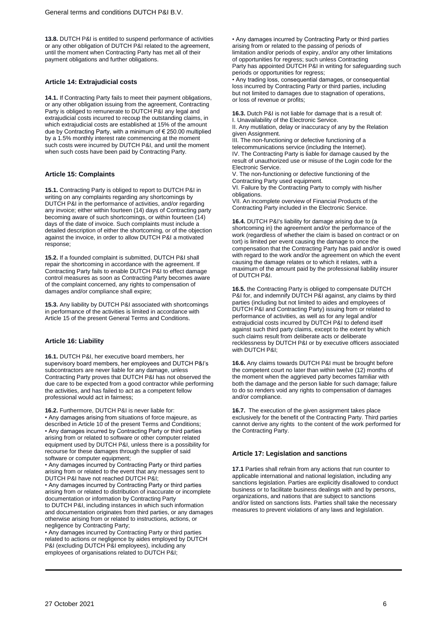**13.8.** DUTCH P&I is entitled to suspend performance of activities or any other obligation of DUTCH P&I related to the agreement, until the moment when Contracting Party has met all of their payment obligations and further obligations.

#### <span id="page-5-0"></span>**Article 14: Extrajudicial costs**

**14.1.** If Contracting Party fails to meet their payment obligations, or any other obligation issuing from the agreement, Contracting Party is obliged to remunerate to DUTCH P&I any legal and extrajudicial costs incurred to recoup the outstanding claims, in which extrajudicial costs are established at 15% of the amount due by Contracting Party, with a minimum of € 250.00 multiplied by a 1.5% monthly interest rate commencing at the moment such costs were incurred by DUTCH P&I, and until the moment when such costs have been paid by Contracting Party.

#### <span id="page-5-1"></span>**Article 15: Complaints**

**15.1.** Contracting Party is obliged to report to DUTCH P&I in writing on any complaints regarding any shortcomings by DUTCH P&I in the performance of activities, and/or regarding any invoice; either within fourteen (14) days of Contracting party becoming aware of such shortcomings, or within fourteen (14) days of the date of invoice. Such complaints must include a detailed description of either the shortcoming, or of the objection against the invoice, in order to allow DUTCH P&I a motivated response;

**15.2.** If a founded complaint is submitted, DUTCH P&I shall repair the shortcoming in accordance with the agreement. If Contracting Party fails to enable DUTCH P&I to effect damage control measures as soon as Contracting Party becomes aware of the complaint concerned, any rights to compensation of damages and/or compliance shall expire;

**15.3.** Any liability by DUTCH P&I associated with shortcomings in performance of the activities is limited in accordance with Article 15 of the present General Terms and Conditions.

#### <span id="page-5-2"></span>**Article 16: Liability**

**16.1.** DUTCH P&I, her executive board members, her supervisory board members, her employees and DUTCH P&I's subcontractors are never liable for any damage, unless Contracting Party proves that DUTCH P&I has not observed the due care to be expected from a good contractor while performing the activities, and has failed to act as a competent fellow professional would act in fairness;

#### **16.2.** Furthermore, DUTCH P&I is never liable for:

• Any damages arising from situations of force majeure, as described in Article 10 of the present Terms and Conditions; • Any damages incurred by Contracting Party or third parties arising from or related to software or other computer related equipment used by DUTCH P&I, unless there is a possibility for recourse for these damages through the supplier of said software or computer equipment;

• Any damages incurred by Contracting Party or third parties arising from or related to the event that any messages sent to DUTCH P&I have not reached DUTCH P&I;

• Any damages incurred by Contracting Party or third parties arising from or related to distribution of inaccurate or incomplete documentation or information by Contracting Party to DUTCH P&I, including instances in which such information

and documentation originates from third parties, or any damages otherwise arising from or related to instructions, actions, or negligence by Contracting Party;

• Any damages incurred by Contracting Party or third parties related to actions or negligence by aides employed by DUTCH P&I (excluding DUTCH P&I employees), including any employees of organisations related to DUTCH P&I;

• Any damages incurred by Contracting Party or third parties arising from or related to the passing of periods of limitation and/or periods of expiry, and/or any other limitations of opportunities for regress; such unless Contracting Party has appointed DUTCH P&I in writing for safeguarding such periods or opportunities for regress;

• Any trading loss, consequential damages, or consequential loss incurred by Contracting Party or third parties, including but not limited to damages due to stagnation of operations, or loss of revenue or profits;

**16.3.** Dutch P&I is not liable for damage that is a result of: I. Unavailability of the Electronic Service.

II. Any mutilation, delay or inaccuracy of any by the Relation given Assignment.

III. The non-functioning or defective functioning of a telecommunications service (including the Internet). IV. The Contracting Party is liable for damage caused by the result of unauthorized use or misuse of the Login code for the Electronic Service.

V. The non-functioning or defective functioning of the Contracting Party used equipment.

VI. Failure by the Contracting Party to comply with his/her obligations.

VII. An incomplete overview of Financial Products of the Contracting Party included in the Electronic Service.

**16.4.** DUTCH P&I's liability for damage arising due to (a shortcoming in) the agreement and/or the performance of the work (regardless of whether the claim is based on contract or on tort) is limited per event causing the damage to once the compensation that the Contracting Party has paid and/or is owed with regard to the work and/or the agreement on which the event causing the damage relates or to which it relates, with a maximum of the amount paid by the professional liability insurer of DUTCH P&I.

**16.5.** the Contracting Party is obliged to compensate DUTCH P&I for, and indemnify DUTCH P&I against, any claims by third parties (including but not limited to aides and employees of DUTCH P&I and Contracting Party) issuing from or related to performance of activities, as well as for any legal and/or extrajudicial costs incurred by DUTCH P&I to defend itself against such third party claims, except to the extent by which such claims result from deliberate acts or deliberate recklessness by DUTCH P&I or by executive officers associated with DUTCH P&I;

**16.6.** Any claims towards DUTCH P&I must be brought before the competent court no later than within twelve (12) months of the moment when the aggrieved party becomes familiar with both the damage and the person liable for such damage; failure to do so renders void any rights to compensation of damages and/or compliance.

**16.7.** The execution of the given assignment takes place exclusively for the benefit of the Contracting Party. Third parties cannot derive any rights to the content of the work performed for the Contracting Party.

#### <span id="page-5-3"></span>**Article 17: Legislation and sanctions**

**17.1** Parties shall refrain from any actions that run counter to applicable international and national legislation, including any sanctions legislation. Parties are explicitly disallowed to conduct business or to facilitate business dealings with and by persons, organizations, and nations that are subject to sanctions and/or listed on sanctions lists. Parties shall take the necessary measures to prevent violations of any laws and legislation.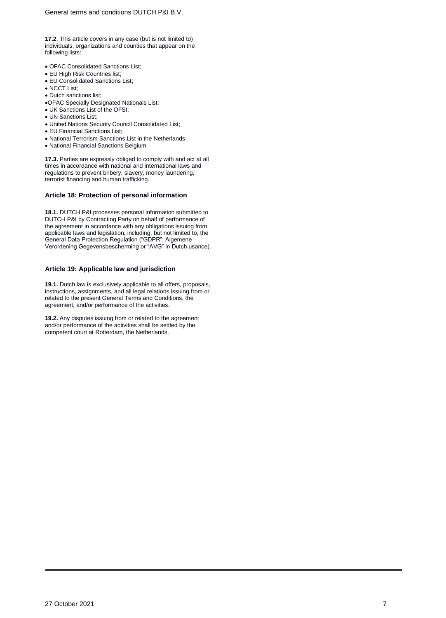**17.2**. This article covers in any case (but is not limited to) individuals, organizations and counties that appear on the following lists:

- OFAC Consolidated Sanctions List;
- EU High Risk Countries list;
- EU Consolidated Sanctions List;
- NCCT List;
- Dutch sanctions list;
- OFAC Specially Designated Nationals List;
- UK Sanctions List of the OFSI;
- UN Sanctions List;
- United Nations Security Council Consolidated List;
- EU Financial Sanctions List;
- National Terrorism Sanctions List in the Netherlands:
- National Financial Sanctions Belgium

**17.3.** Parties are expressly obliged to comply with and act at all times in accordance with national and international laws and regulations to prevent bribery, slavery, money laundering, terrorist financing and human trafficking.

#### <span id="page-6-0"></span>**Article 18: Protection of personal information**

**18.1.** DUTCH P&I processes personal information submitted to DUTCH P&I by Contracting Party on behalf of performance of the agreement in accordance with any obligations issuing from applicable laws and legislation, including, but not limited to, the General Data Protection Regulation ("GDPR"; Algemene Verordening Gegevensbescherming or "AVG" in Dutch usance).

## <span id="page-6-1"></span>**Article 19: Applicable law and jurisdiction**

**19.1.** Dutch law is exclusively applicable to all offers, proposals, instructions, assignments, and all legal relations issuing from or related to the present General Terms and Conditions, the agreement, and/or performance of the activities.

**19.2.** Any disputes issuing from or related to the agreement and/or performance of the activities shall be settled by the competent court at Rotterdam, the Netherlands.